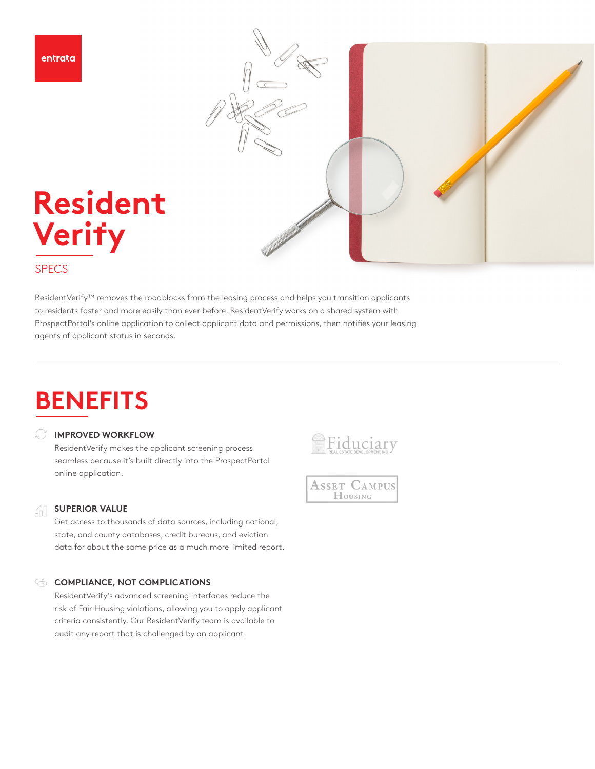



## **SPECS**

ResidentVerify™ removes the roadblocks from the leasing process and helps you transition applicants to residents faster and more easily than ever before. ResidentVerify works on a shared system with ProspectPortal's online application to collect applicant data and permissions, then notifies your leasing agents of applicant status in seconds.

# **BENEFITS**

### **IMPROVED WORKFLOW**

**Resident**

**Veri**f**y**

ResidentVerify makes the applicant screening process seamless because it's built directly into the ProspectPortal online application.

#### 긺 **SUPERIOR VALUE**

Get access to thousands of data sources, including national, state, and county databases, credit bureaus, and eviction data for about the same price as a much more limited report.

### **COMPLIANCE, NOT COMPLICATIONS**

ResidentVerify's advanced screening interfaces reduce the risk of Fair Housing violations, allowing you to apply applicant criteria consistently. Our ResidentVerify team is available to audit any report that is challenged by an applicant.